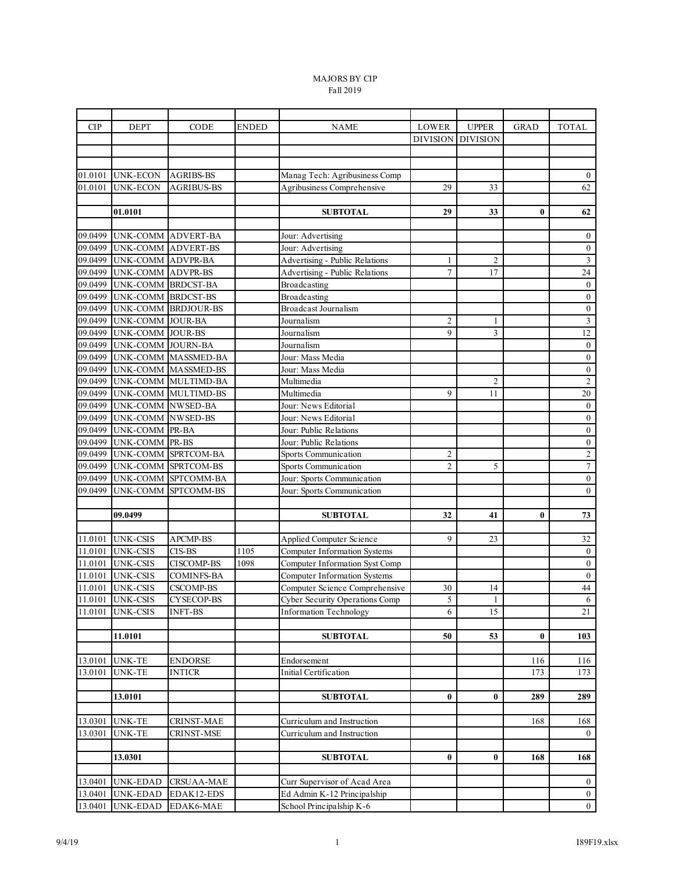## MAJORS BY CIP Fall 2019

| <b>CIP</b>         | <b>DEPT</b>        | CODE                | <b>ENDED</b> | <b>NAME</b>                           | LOWER           | <b>UPPER</b>    | <b>GRAD</b> | <b>TOTAL</b>            |
|--------------------|--------------------|---------------------|--------------|---------------------------------------|-----------------|-----------------|-------------|-------------------------|
|                    |                    |                     |              |                                       | <b>DIVISION</b> | <b>DIVISION</b> |             |                         |
|                    |                    |                     |              |                                       |                 |                 |             |                         |
|                    |                    |                     |              |                                       |                 |                 |             |                         |
| 01.0101            | UNK-ECON           | <b>AGRIBS-BS</b>    |              | Manag Tech: Agribusiness Comp         |                 |                 |             | $\mathbf{0}$            |
| 01.0101            | UNK-ECON           | <b>AGRIBUS-BS</b>   |              | Agribusiness Comprehensive            | 29              | 33              |             | 62                      |
|                    |                    |                     |              |                                       |                 |                 |             |                         |
|                    | 01.0101            |                     |              | <b>SUBTOTAL</b>                       | 29              | 33              | $\bf{0}$    | 62                      |
|                    |                    |                     |              |                                       |                 |                 |             |                         |
| 09.0499            | UNK-COMM           | <b>ADVERT-BA</b>    |              | Jour: Advertising                     |                 |                 |             | $\mathbf{0}$            |
| 09.0499            | <b>UNK-COMM</b>    | <b>ADVERT-BS</b>    |              | Jour: Advertising                     |                 |                 |             | $\boldsymbol{0}$        |
| 09.0499            | UNK-COMM ADVPR-BA  |                     |              | Advertising - Public Relations        | 1               | $\overline{c}$  |             | $\overline{3}$          |
| 09.0499            | UNK-COMM ADVPR-BS  |                     |              | Advertising - Public Relations        | $\tau$          | 17              |             | 24                      |
| 09.0499            | UNK-COMM BRDCST-BA |                     |              | Broadcasting                          |                 |                 |             | $\boldsymbol{0}$        |
| 09.0499            | UNK-COMM BRDCST-BS |                     |              | Broadcasting                          |                 |                 |             | $\boldsymbol{0}$        |
| 09.0499            |                    | UNK-COMM BRDJOUR-BS |              | <b>Broadcast Journalism</b>           |                 |                 |             | $\boldsymbol{0}$        |
| 09.0499            | UNK-COMM           | <b>JOUR-BA</b>      |              | Journalism                            | $\overline{c}$  | 1               |             | $\overline{\mathbf{3}}$ |
| 09.0499            | UNK-COMM JOUR-BS   |                     |              | Journalism                            | 9               | $\overline{3}$  |             | $\overline{12}$         |
| 09.0499            | UNK-COMM JOURN-BA  |                     |              | Journalism                            |                 |                 |             | $\boldsymbol{0}$        |
| 09.0499            |                    | UNK-COMM MASSMED-BA |              | Jour: Mass Media                      |                 |                 |             | $\boldsymbol{0}$        |
| 09.0499            |                    | UNK-COMM MASSMED-BS |              | Jour: Mass Media                      |                 |                 |             | $\boldsymbol{0}$        |
| 09.0499<br>09.0499 |                    | UNK-COMM MULTIMD-BA |              | Multimedia<br>Multimedia              | 9               | 2               |             | $\sqrt{2}$<br>$20\,$    |
| 09.0499            | UNK-COMM NWSED-BA  | UNK-COMM MULTIMD-BS |              | Jour: News Editorial                  |                 | 11              |             | $\boldsymbol{0}$        |
| 09.0499            | UNK-COMM NWSED-BS  |                     |              | Jour: News Editorial                  |                 |                 |             | $\boldsymbol{0}$        |
| 09.0499            | UNK-COMM PR-BA     |                     |              | Jour: Public Relations                |                 |                 |             | $\boldsymbol{0}$        |
| 09.0499            | UNK-COMM PR-BS     |                     |              | Jour: Public Relations                |                 |                 |             | $\boldsymbol{0}$        |
| 09.0499            | UNK-COMM           | SPRTCOM-BA          |              | Sports Communication                  | $\overline{c}$  |                 |             | $\sqrt{2}$              |
| 09.0499            | UNK-COMM           | SPRTCOM-BS          |              | Sports Communication                  | $\overline{2}$  | 5               |             | $\overline{7}$          |
| 09.0499            |                    | UNK-COMM SPTCOMM-BA |              | Jour: Sports Communication            |                 |                 |             | $\overline{0}$          |
| 09.0499            |                    | UNK-COMM SPTCOMM-BS |              | Jour: Sports Communication            |                 |                 |             | $\boldsymbol{0}$        |
|                    |                    |                     |              |                                       |                 |                 |             |                         |
|                    | 09.0499            |                     |              | <b>SUBTOTAL</b>                       | 32              | 41              | $\bf{0}$    | 73                      |
|                    |                    |                     |              |                                       |                 |                 |             |                         |
| 11.0101            | <b>UNK-CSIS</b>    | APCMP-BS            |              | Applied Computer Science              | 9               | 23              |             | 32                      |
| 11.0101            | <b>UNK-CSIS</b>    | CIS-BS              | 1105         | Computer Information Systems          |                 |                 |             | $\boldsymbol{0}$        |
| 11.0101            | <b>UNK-CSIS</b>    | <b>CISCOMP-BS</b>   | 1098         | Computer Information Syst Comp        |                 |                 |             | $\boldsymbol{0}$        |
| 11.0101            | <b>UNK-CSIS</b>    | <b>COMINFS-BA</b>   |              | <b>Computer Information Systems</b>   |                 |                 |             | $\boldsymbol{0}$        |
| 11.0101            | <b>UNK-CSIS</b>    | <b>CSCOMP-BS</b>    |              | Computer Science Comprehensive        | 30              | 14              |             | 44                      |
| 11.0101            | <b>UNK-CSIS</b>    | <b>CYSECOP-BS</b>   |              | <b>Cyber Security Operations Comp</b> | 5               | 1               |             | 6                       |
| 11.0101            | <b>UNK-CSIS</b>    | <b>INFT-BS</b>      |              | <b>Information Technology</b>         | 6               | 15              |             | 21                      |
|                    |                    |                     |              |                                       |                 |                 |             |                         |
|                    | 11.0101            |                     |              | <b>SUBTOTAL</b>                       | 50              | 53              | $\bf{0}$    | 103                     |
|                    |                    |                     |              |                                       |                 |                 |             |                         |
| 13.0101            | <b>UNK-TE</b>      | <b>ENDORSE</b>      |              | Endorsement                           |                 |                 | 116         | 116                     |
| 13.0101            | UNK-TE             | <b>INTICR</b>       |              | Initial Certification                 |                 |                 | 173         | 173                     |
|                    |                    |                     |              |                                       |                 |                 |             |                         |
|                    | 13.0101            |                     |              | <b>SUBTOTAL</b>                       | 0               | 0               | 289         | 289                     |
| 13.0301            | <b>UNK-TE</b>      | <b>CRINST-MAE</b>   |              | Curriculum and Instruction            |                 |                 | 168         | 168                     |
| 13.0301            | <b>UNK-TE</b>      | CRINST-MSE          |              | Curriculum and Instruction            |                 |                 |             | $\overline{0}$          |
|                    |                    |                     |              |                                       |                 |                 |             |                         |
|                    | 13.0301            |                     |              | <b>SUBTOTAL</b>                       | $\bf{0}$        | 0               | 168         | 168                     |
|                    |                    |                     |              |                                       |                 |                 |             |                         |
| 13.0401            | <b>UNK-EDAD</b>    | <b>CRSUAA-MAE</b>   |              | Curr Supervisor of Acad Area          |                 |                 |             | $\boldsymbol{0}$        |
| 13.0401            | <b>UNK-EDAD</b>    | EDAK12-EDS          |              | Ed Admin K-12 Principalship           |                 |                 |             | $\mathbf{0}$            |
| 13.0401            | UNK-EDAD           | EDAK6-MAE           |              | School Principalship K-6              |                 |                 |             | $\overline{0}$          |
|                    |                    |                     |              |                                       |                 |                 |             |                         |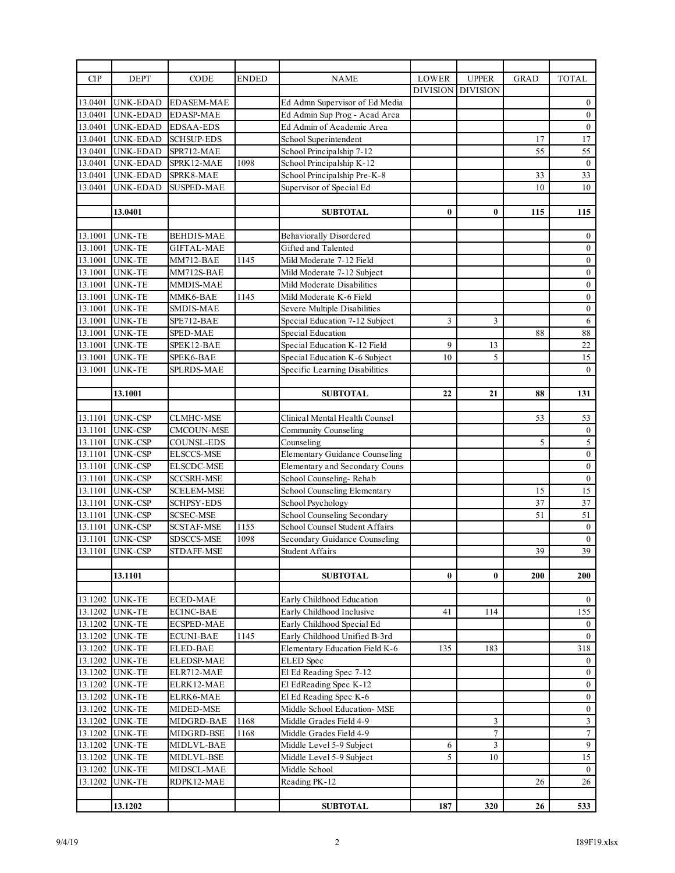| <b>CIP</b> | <b>DEPT</b>              | CODE                     | <b>ENDED</b> | <b>NAME</b>                           | LOWER           | <b>UPPER</b>    | <b>GRAD</b> | <b>TOTAL</b>            |
|------------|--------------------------|--------------------------|--------------|---------------------------------------|-----------------|-----------------|-------------|-------------------------|
|            |                          |                          |              |                                       | <b>DIVISION</b> | <b>DIVISION</b> |             |                         |
| 13.0401    | <b>UNK-EDAD</b>          | <b>EDASEM-MAE</b>        |              | Ed Admn Supervisor of Ed Media        |                 |                 |             | $\boldsymbol{0}$        |
| 13.0401    | <b>UNK-EDAD</b>          | <b>EDASP-MAE</b>         |              | Ed Admin Sup Prog - Acad Area         |                 |                 |             | $\boldsymbol{0}$        |
| 13.0401    | UNK-EDAD                 | <b>EDSAA-EDS</b>         |              | Ed Admin of Academic Area             |                 |                 |             | $\boldsymbol{0}$        |
| 13.0401    | UNK-EDAD                 | <b>SCHSUP-EDS</b>        |              | School Superintendent                 |                 |                 | 17          | 17                      |
| 13.0401    | <b>UNK-EDAD</b>          | SPR712-MAE               |              | School Principalship 7-12             |                 |                 | 55          | 55                      |
| 13.0401    | <b>UNK-EDAD</b>          | SPRK12-MAE               | 1098         | School Principalship K-12             |                 |                 |             | $\boldsymbol{0}$        |
| 13.0401    | <b>UNK-EDAD</b>          | SPRK8-MAE                |              | School Principalship Pre-K-8          |                 |                 | 33          | 33                      |
| 13.0401    | <b>UNK-EDAD</b>          | <b>SUSPED-MAE</b>        |              | Supervisor of Special Ed              |                 |                 | 10          | 10                      |
|            |                          |                          |              |                                       |                 |                 |             |                         |
|            | 13.0401                  |                          |              | <b>SUBTOTAL</b>                       | $\bf{0}$        | $\bf{0}$        | 115         | 115                     |
|            |                          |                          |              |                                       |                 |                 |             |                         |
| 13.1001    | <b>UNK-TE</b>            | <b>BEHDIS-MAE</b>        |              | <b>Behaviorally Disordered</b>        |                 |                 |             | $\boldsymbol{0}$        |
| 13.1001    | <b>UNK-TE</b>            | <b>GIFTAL-MAE</b>        |              | Gifted and Talented                   |                 |                 |             | $\boldsymbol{0}$        |
| 13.1001    | <b>UNK-TE</b>            | MM712-BAE                | 1145         | Mild Moderate 7-12 Field              |                 |                 |             | $\boldsymbol{0}$        |
| 13.1001    | <b>UNK-TE</b>            | MM712S-BAE               |              | Mild Moderate 7-12 Subject            |                 |                 |             | $\boldsymbol{0}$        |
| 13.1001    | <b>UNK-TE</b>            | MMDIS-MAE                |              | Mild Moderate Disabilities            |                 |                 |             | $\boldsymbol{0}$        |
| 13.1001    | <b>UNK-TE</b>            | MMK6-BAE                 | 1145         | Mild Moderate K-6 Field               |                 |                 |             | $\boldsymbol{0}$        |
| 13.1001    | <b>UNK-TE</b>            | SMDIS-MAE                |              | Severe Multiple Disabilities          |                 |                 |             | $\boldsymbol{0}$        |
| 13.1001    | <b>UNK-TE</b>            | SPE712-BAE               |              | Special Education 7-12 Subject        | $\mathfrak{Z}$  | 3               |             | $\overline{6}$          |
| 13.1001    | <b>UNK-TE</b>            | SPED-MAE                 |              | Special Education                     |                 |                 | 88          | 88                      |
| 13.1001    | <b>UNK-TE</b>            | SPEK12-BAE               |              | Special Education K-12 Field          | 9               | 13              |             | 22                      |
| 13.1001    | UNK-TE                   | SPEK6-BAE                |              | Special Education K-6 Subject         | 10              | 5               |             | 15                      |
| 13.1001    | <b>UNK-TE</b>            | SPLRDS-MAE               |              | Specific Learning Disabilities        |                 |                 |             | $\theta$                |
|            |                          |                          |              |                                       |                 |                 |             |                         |
|            | 13.1001                  |                          |              | <b>SUBTOTAL</b>                       | 22              | 21              | 88          | 131                     |
|            |                          |                          |              |                                       |                 |                 |             |                         |
| 13.1101    | <b>UNK-CSP</b>           | <b>CLMHC-MSE</b>         |              | Clinical Mental Health Counsel        |                 |                 | 53          | 53                      |
| 13.1101    | <b>UNK-CSP</b>           | CMCOUN-MSE               |              | <b>Community Counseling</b>           |                 |                 |             | $\boldsymbol{0}$        |
| 13.1101    | UNK-CSP                  | COUNSL-EDS               |              | Counseling                            |                 |                 | 5           | $\overline{5}$          |
| 13.1101    | <b>UNK-CSP</b>           | <b>ELSCCS-MSE</b>        |              | <b>Elementary Guidance Counseling</b> |                 |                 |             | $\boldsymbol{0}$        |
| 13.1101    | <b>UNK-CSP</b>           | <b>ELSCDC-MSE</b>        |              | Elementary and Secondary Couns        |                 |                 |             | $\boldsymbol{0}$        |
| 13.1101    | <b>UNK-CSP</b>           | <b>SCCSRH-MSE</b>        |              | School Counseling-Rehab               |                 |                 |             | $\boldsymbol{0}$        |
| 13.1101    | <b>UNK-CSP</b>           | <b>SCELEM-MSE</b>        |              | School Counseling Elementary          |                 |                 | 15          | 15                      |
| 13.1101    | UNK-CSP                  | <b>SCHPSY-EDS</b>        |              | School Psychology                     |                 |                 | 37          | 37                      |
| 13.1101    | <b>UNK-CSP</b>           | <b>SCSEC-MSE</b>         |              | School Counseling Secondary           |                 |                 | 51          | $\overline{51}$         |
| 13.1101    | <b>UNK-CSP</b>           | <b>SCSTAF-MSE</b>        | 1155         | School Counsel Student Affairs        |                 |                 |             | $\mathbf{0}$            |
| 13.1101    | <b>UNK-CSP</b>           | SDSCCS-MSE               | 1098         | Secondary Guidance Counseling         |                 |                 |             | $\bf{0}$                |
| 13.1101    | <b>UNK-CSP</b>           | <b>STDAFF-MSE</b>        |              | Student Affairs                       |                 |                 | 39          | $\overline{39}$         |
|            |                          |                          |              |                                       |                 |                 |             |                         |
|            | 13.1101                  |                          |              | <b>SUBTOTAL</b>                       | $\bf{0}$        | $\bf{0}$        | 200         | 200                     |
|            |                          |                          |              |                                       |                 |                 |             |                         |
| 13.1202    | <b>UNK-TE</b>            | <b>ECED-MAE</b>          |              | Early Childhood Education             |                 |                 |             | $\mathbf{0}$            |
|            | 13.1202 UNK-TE           | <b>ECINC-BAE</b>         |              | Early Childhood Inclusive             | 41              | 114             |             | 155                     |
|            | 13.1202 UNK-TE           | <b>ECSPED-MAE</b>        |              | Early Childhood Special Ed            |                 |                 |             | $\overline{0}$          |
|            | 13.1202 UNK-TE           | <b>ECUNI-BAE</b>         | 1145         | Early Childhood Unified B-3rd         |                 |                 |             | $\overline{0}$          |
|            | 13.1202 UNK-TE           | ELED-BAE                 |              | Elementary Education Field K-6        | 135             | 183             |             | 318                     |
| 13.1202    | UNK-TE                   | ELEDSP-MAE               |              | <b>ELED</b> Spec                      |                 |                 |             | $\mathbf{0}$            |
|            | 13.1202 UNK-TE           | ELR712-MAE               |              | El Ed Reading Spec 7-12               |                 |                 |             | $0\,$                   |
|            | 13.1202 UNK-TE           | ELRK12-MAE               |              | El EdReading Spec K-12                |                 |                 |             | $\boldsymbol{0}$        |
|            | 13.1202 UNK-TE           | ELRK6-MAE                |              | El Ed Reading Spec K-6                |                 |                 |             | $\boldsymbol{0}$        |
|            | 13.1202 UNK-TE           | MIDED-MSE                |              | Middle School Education- MSE          |                 |                 |             | $\boldsymbol{0}$        |
| 13.1202    | <b>UNK-TE</b>            | MIDGRD-BAE               | 1168         | Middle Grades Field 4-9               |                 | 3               |             | $\overline{\mathbf{3}}$ |
| 13.1202    |                          |                          | 1168         | Middle Grades Field 4-9               |                 | $\overline{7}$  |             | $\overline{7}$          |
|            | UNK-TE<br>13.1202 UNK-TE | MIDGRD-BSE<br>MIDLVL-BAE |              | Middle Level 5-9 Subject              | 6               | 3               |             | $\overline{9}$          |
|            | 13.1202 UNK-TE           | MIDLVL-BSE               |              | Middle Level 5-9 Subject              | 5               | 10              |             | 15                      |
| 13.1202    | <b>UNK-TE</b>            | MIDSCL-MAE               |              | Middle School                         |                 |                 |             | $\mathbf{0}$            |
|            |                          |                          |              | Reading PK-12                         |                 |                 |             |                         |
| 13.1202    | UNK-TE                   | RDPK12-MAE               |              |                                       |                 |                 | 26          | 26                      |
|            |                          |                          |              |                                       |                 |                 |             |                         |
|            | 13.1202                  |                          |              | <b>SUBTOTAL</b>                       | 187             | 320             | 26          | 533                     |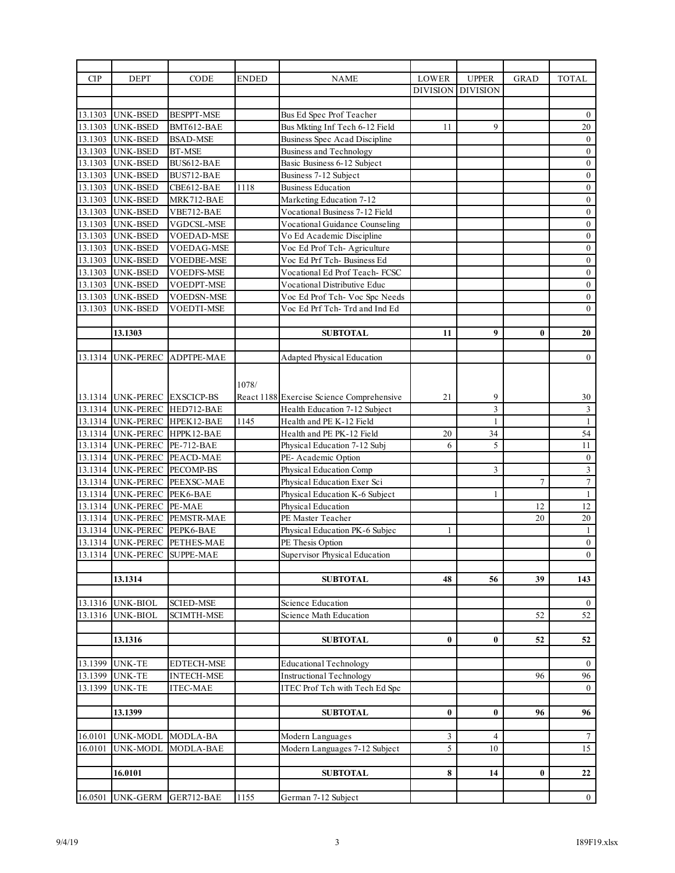| CIP     | <b>DEPT</b>                  | CODE                         | ENDED | <b>NAME</b>                               | <b>LOWER</b>    | <b>UPPER</b>    | <b>GRAD</b> | <b>TOTAL</b>     |
|---------|------------------------------|------------------------------|-------|-------------------------------------------|-----------------|-----------------|-------------|------------------|
|         |                              |                              |       |                                           | <b>DIVISION</b> | <b>DIVISION</b> |             |                  |
|         |                              |                              |       |                                           |                 |                 |             |                  |
|         | 13.1303 UNK-BSED             | <b>BESPPT-MSE</b>            |       | Bus Ed Spec Prof Teacher                  |                 |                 |             | $\boldsymbol{0}$ |
| 13.1303 | <b>UNK-BSED</b>              | BMT612-BAE                   |       | Bus Mkting Inf Tech 6-12 Field            | 11              | 9               |             | 20               |
| 13.1303 | <b>UNK-BSED</b>              | <b>BSAD-MSE</b>              |       | Business Spec Acad Discipline             |                 |                 |             | $\boldsymbol{0}$ |
|         | 13.1303 UNK-BSED             | <b>BT-MSE</b>                |       | <b>Business and Technology</b>            |                 |                 |             | $\boldsymbol{0}$ |
| 13.1303 | <b>UNK-BSED</b>              | BUS612-BAE                   |       | Basic Business 6-12 Subject               |                 |                 |             | $\boldsymbol{0}$ |
| 13.1303 | <b>UNK-BSED</b>              | BUS712-BAE                   |       | Business 7-12 Subject                     |                 |                 |             | $\boldsymbol{0}$ |
|         | 13.1303 UNK-BSED             | CBE612-BAE                   | 1118  | <b>Business Education</b>                 |                 |                 |             | $\boldsymbol{0}$ |
| 13.1303 | <b>UNK-BSED</b>              | MRK712-BAE                   |       | <b>Marketing Education 7-12</b>           |                 |                 |             | $\boldsymbol{0}$ |
| 13.1303 | <b>UNK-BSED</b>              | VBE712-BAE                   |       | Vocational Business 7-12 Field            |                 |                 |             | $\boldsymbol{0}$ |
|         | 13.1303 UNK-BSED             | VGDCSL-MSE                   |       | Vocational Guidance Counseling            |                 |                 |             | $\boldsymbol{0}$ |
| 13.1303 | <b>UNK-BSED</b>              | VOEDAD-MSE                   |       | Vo Ed Academic Discipline                 |                 |                 |             | $\boldsymbol{0}$ |
| 13.1303 | <b>UNK-BSED</b>              | <b>VOEDAG-MSE</b>            |       | Voc Ed Prof Tch-Agriculture               |                 |                 |             | $\boldsymbol{0}$ |
|         | 13.1303 UNK-BSED             | <b>VOEDBE-MSE</b>            |       | Voc Ed Prf Tch- Business Ed               |                 |                 |             | $\boldsymbol{0}$ |
| 13.1303 | <b>UNK-BSED</b>              | VOEDFS-MSE                   |       | Vocational Ed Prof Teach- FCSC            |                 |                 |             | $\boldsymbol{0}$ |
| 13.1303 | <b>UNK-BSED</b>              | <b>VOEDPT-MSE</b>            |       | Vocational Distributive Educ              |                 |                 |             | $\boldsymbol{0}$ |
|         | 13.1303 UNK-BSED             | <b>VOEDSN-MSE</b>            |       | Voc Ed Prof Tch- Voc Spc Needs            |                 |                 |             | $\boldsymbol{0}$ |
| 13.1303 | <b>UNK-BSED</b>              | VOEDTI-MSE                   |       | Voc Ed Prf Tch- Trd and Ind Ed            |                 |                 |             | $\boldsymbol{0}$ |
|         |                              |                              |       |                                           |                 |                 |             |                  |
|         | 13.1303                      |                              |       | <b>SUBTOTAL</b>                           | 11              | 9               | $\bf{0}$    | 20               |
|         |                              |                              |       |                                           |                 |                 |             |                  |
| 13.1314 | UNK-PEREC                    | ADPTPE-MAE                   |       | <b>Adapted Physical Education</b>         |                 |                 |             | $\overline{0}$   |
|         |                              |                              |       |                                           |                 |                 |             |                  |
|         |                              |                              |       |                                           |                 |                 |             |                  |
|         |                              |                              | 1078/ |                                           |                 |                 |             |                  |
|         | 13.1314 UNK-PEREC EXSCICP-BS |                              |       | React 1188 Exercise Science Comprehensive | 21              | 9               |             | 30               |
|         |                              | 13.1314 UNK-PEREC HED712-BAE |       | Health Education 7-12 Subject             |                 | $\overline{3}$  |             | $\sqrt{3}$       |
|         |                              | 13.1314 UNK-PEREC HPEK12-BAE | 1145  | Health and PE K-12 Field                  |                 | $\mathbf{1}$    |             | $\mathbf{1}$     |
|         |                              | 13.1314 UNK-PEREC HPPK12-BAE |       | Health and PE PK-12 Field                 | 20              | 34              |             | 54               |
|         | 13.1314 UNK-PEREC PE-712-BAE |                              |       | Physical Education 7-12 Subj              | 6               | 5               |             | 11               |
|         |                              | 13.1314 UNK-PEREC PEACD-MAE  |       | PE- Academic Option                       |                 |                 |             | $\boldsymbol{0}$ |
|         | 13.1314 UNK-PEREC PECOMP-BS  |                              |       | Physical Education Comp                   |                 | 3               |             | $\mathfrak{Z}$   |
|         |                              | 13.1314 UNK-PEREC PEEXSC-MAE |       | Physical Education Exer Sci               |                 |                 | $\tau$      | $\overline{7}$   |
|         | 13.1314 UNK-PEREC PEK6-BAE   |                              |       | Physical Education K-6 Subject            |                 | 1               |             | $\mathbf{1}$     |
|         | 13.1314 UNK-PEREC PE-MAE     |                              |       | Physical Education                        |                 |                 | 12          | 12               |
|         |                              | 13.1314 UNK-PEREC PEMSTR-MAE |       | PE Master Teacher                         |                 |                 | 20          | 20               |
|         | 13.1314 UNK-PEREC PEPK6-BAE  |                              |       | Physical Education PK-6 Subjec            | 1               |                 |             | $\mathbf{1}$     |
|         |                              | 13.1314 UNK-PEREC PETHES-MAE |       | PE Thesis Option                          |                 |                 |             | $\mathbf{0}$     |
|         |                              | 13.1314 UNK-PEREC SUPPE-MAE  |       | Supervisor Physical Education             |                 |                 |             | $\boldsymbol{0}$ |
|         |                              |                              |       |                                           |                 |                 |             |                  |
|         | 13.1314                      |                              |       | <b>SUBTOTAL</b>                           | 48              | 56              | 39          | 143              |
|         |                              |                              |       |                                           |                 |                 |             |                  |
| 13.1316 | UNK-BIOL                     | <b>SCIED-MSE</b>             |       | Science Education                         |                 |                 |             | $\boldsymbol{0}$ |
| 13.1316 | <b>UNK-BIOL</b>              | <b>SCIMTH-MSE</b>            |       | Science Math Education                    |                 |                 | 52          | 52               |
|         |                              |                              |       |                                           |                 |                 |             |                  |
|         | 13.1316                      |                              |       | <b>SUBTOTAL</b>                           | $\bf{0}$        | $\bf{0}$        | 52          | 52               |
|         |                              |                              |       |                                           |                 |                 |             |                  |
| 13.1399 | UNK-TE                       | <b>EDTECH-MSE</b>            |       | <b>Educational Technology</b>             |                 |                 |             | $\bf{0}$         |
| 13.1399 | UNK-TE                       | <b>INTECH-MSE</b>            |       | <b>Instructional Technology</b>           |                 |                 | 96          | 96               |
| 13.1399 | UNK-TE                       | <b>ITEC-MAE</b>              |       | <b>ITEC</b> Prof Tch with Tech Ed Spc     |                 |                 |             | $\mathbf{0}$     |
|         |                              |                              |       |                                           |                 |                 |             |                  |
|         | 13.1399                      |                              |       | <b>SUBTOTAL</b>                           | $\bf{0}$        | 0               | 96          | 96               |
|         |                              |                              |       |                                           |                 |                 |             |                  |
| 16.0101 | UNK-MODL                     | MODLA-BA                     |       | Modern Languages                          | 3               | 4               |             | $\tau$           |
| 16.0101 | UNK-MODL                     | MODLA-BAE                    |       | Modern Languages 7-12 Subject             | 5               | 10              |             | 15               |
|         |                              |                              |       |                                           |                 |                 |             |                  |
|         | 16.0101                      |                              |       | <b>SUBTOTAL</b>                           | 8               | 14              | $\bf{0}$    | 22               |
|         |                              |                              |       |                                           |                 |                 |             |                  |
| 16.0501 | <b>UNK-GERM</b>              | GER712-BAE                   | 1155  | German 7-12 Subject                       |                 |                 |             | $\mathbf{0}$     |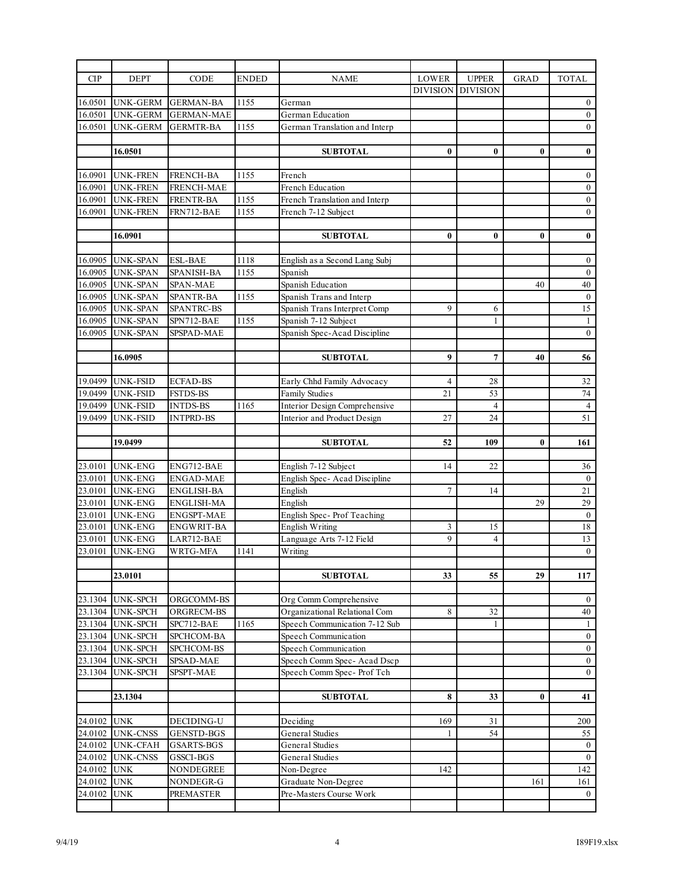| <b>CIP</b>             | <b>DEPT</b>      | CODE                   | <b>ENDED</b> | <b>NAME</b>                       | LOWER           | <b>UPPER</b>    | <b>GRAD</b> | <b>TOTAL</b>        |
|------------------------|------------------|------------------------|--------------|-----------------------------------|-----------------|-----------------|-------------|---------------------|
|                        |                  |                        |              |                                   | <b>DIVISION</b> | <b>DIVISION</b> |             |                     |
| 16.0501                | <b>UNK-GERM</b>  | <b>GERMAN-BA</b>       | 1155         | German                            |                 |                 |             | $\bf{0}$            |
| 16.0501                | <b>UNK-GERM</b>  | <b>GERMAN-MAE</b>      |              | German Education                  |                 |                 |             | $\boldsymbol{0}$    |
| 16.0501                | <b>UNK-GERM</b>  | <b>GERMTR-BA</b>       | 1155         | German Translation and Interp     |                 |                 |             | $\mathbf{0}$        |
|                        |                  |                        |              |                                   |                 |                 |             |                     |
|                        | 16.0501          |                        |              | <b>SUBTOTAL</b>                   | $\bf{0}$        | $\bf{0}$        | $\bf{0}$    | $\pmb{0}$           |
|                        |                  |                        |              |                                   |                 |                 |             |                     |
| 16.0901                | UNK-FREN         | <b>FRENCH-BA</b>       | 1155         | French                            |                 |                 |             | $\bf{0}$            |
| 16.0901                | <b>UNK-FREN</b>  | <b>FRENCH-MAE</b>      |              | French Education                  |                 |                 |             | $0\,$               |
| 16.0901                | <b>UNK-FREN</b>  | <b>FRENTR-BA</b>       | 1155         | French Translation and Interp     |                 |                 |             | $\boldsymbol{0}$    |
| 16.0901                | <b>UNK-FREN</b>  | FRN712-BAE             | 1155         | French 7-12 Subject               |                 |                 |             | $\boldsymbol{0}$    |
|                        |                  |                        |              |                                   |                 |                 |             |                     |
|                        | 16.0901          |                        |              | <b>SUBTOTAL</b>                   | $\bf{0}$        | $\bf{0}$        | $\bf{0}$    | $\bf{0}$            |
|                        |                  |                        |              |                                   |                 |                 |             |                     |
|                        | 16.0905 UNK-SPAN | <b>ESL-BAE</b>         | 1118         | English as a Second Lang Subj     |                 |                 |             | $\boldsymbol{0}$    |
| 16.0905                | <b>UNK-SPAN</b>  | <b>SPANISH-BA</b>      | 1155         | Spanish                           |                 |                 |             | $\boldsymbol{0}$    |
| 16.0905                | <b>UNK-SPAN</b>  | SPAN-MAE               |              | Spanish Education                 |                 |                 | 40          | 40                  |
| 16.0905                | <b>UNK-SPAN</b>  | <b>SPANTR-BA</b>       | 1155         | Spanish Trans and Interp          |                 |                 |             | $\boldsymbol{0}$    |
| 16.0905                | <b>UNK-SPAN</b>  | SPANTRC-BS             |              | Spanish Trans Interpret Comp      | 9               | 6               |             | 15                  |
| 16.0905                | <b>UNK-SPAN</b>  | SPN712-BAE             | 1155         | Spanish 7-12 Subject              |                 | $\mathbf{1}$    |             | $\mathbf{1}$        |
| 16.0905                | <b>UNK-SPAN</b>  | SPSPAD-MAE             |              | Spanish Spec-Acad Discipline      |                 |                 |             | $\mathbf{0}$        |
|                        |                  |                        |              |                                   |                 |                 |             |                     |
|                        | 16.0905          |                        |              | <b>SUBTOTAL</b>                   | 9               | $\overline{7}$  | 40          | 56                  |
|                        |                  |                        |              |                                   |                 |                 |             |                     |
| 19.0499                | <b>UNK-FSID</b>  | <b>ECFAD-BS</b>        |              | Early Chhd Family Advocacy        | $\overline{4}$  | 28              |             | 32                  |
| 19.0499                | <b>UNK-FSID</b>  | <b>FSTDS-BS</b>        |              | <b>Family Studies</b>             | 21              | 53              |             | 74                  |
| 19.0499                | <b>UNK-FSID</b>  | <b>INTDS-BS</b>        | 1165         | Interior Design Comprehensive     |                 | $\overline{4}$  |             | $\overline{4}$      |
| 19.0499                | UNK-FSID         | <b>INTPRD-BS</b>       |              | Interior and Product Design       | 27              | 24              |             | 51                  |
|                        |                  |                        |              |                                   |                 |                 |             |                     |
|                        | 19.0499          |                        |              | <b>SUBTOTAL</b>                   | 52              | 109             | 0           | 161                 |
|                        |                  |                        |              |                                   |                 |                 |             |                     |
| 23.0101                | UNK-ENG          | ENG712-BAE             |              | English 7-12 Subject              | 14              | 22              |             | 36                  |
| 23.0101                | <b>UNK-ENG</b>   | <b>ENGAD-MAE</b>       |              | English Spec-Acad Discipline      |                 |                 |             | $\boldsymbol{0}$    |
| 23.0101                | <b>UNK-ENG</b>   | ENGLISH-BA             |              | English                           | $7\phantom{.0}$ | 14              |             | 21                  |
|                        |                  |                        |              |                                   |                 |                 |             |                     |
| 23.0101                | <b>UNK-ENG</b>   | <b>ENGLISH-MA</b>      |              | English                           |                 |                 | 29          | 29                  |
| 23.0101                | <b>UNK-ENG</b>   | <b>ENGSPT-MAE</b>      |              | English Spec-Prof Teaching        |                 |                 |             | $\mathbf{0}$        |
| 23.0101                | <b>UNK-ENG</b>   | <b>ENGWRIT-BA</b>      |              | <b>English Writing</b>            | 3               | 15              |             | 18                  |
| 23.0101                | <b>UNK-ENG</b>   | LAR712-BAE             |              | Language Arts 7-12 Field          | 9               | 4               |             | 13                  |
| 23.0101                | <b>UNK-ENG</b>   | WRTG-MFA               | 1141         | Writing                           |                 |                 |             | $\mathbf{0}$        |
|                        |                  |                        |              |                                   |                 |                 |             |                     |
|                        | 23.0101          |                        |              | <b>SUBTOTAL</b>                   | 33              | 55              | 29          | 117                 |
|                        |                  |                        |              |                                   |                 |                 |             |                     |
|                        | 23.1304 UNK-SPCH | ORGCOMM-BS             |              | Org Comm Comprehensive            |                 |                 |             | $\bf{0}$            |
| 23.1304                | <b>UNK-SPCH</b>  | ORGRECM-BS             |              | Organizational Relational Com     | 8               | 32              |             | 40                  |
|                        | 23.1304 UNK-SPCH | SPC712-BAE             | 1165         | Speech Communication 7-12 Sub     |                 | 1               |             | $\mathbf{1}$        |
| 23.1304                | <b>UNK-SPCH</b>  | SPCHCOM-BA             |              | Speech Communication              |                 |                 |             | $\boldsymbol{0}$    |
| 23.1304                | <b>UNK-SPCH</b>  | SPCHCOM-BS             |              | Speech Communication              |                 |                 |             | $\boldsymbol{0}$    |
| 23.1304                | <b>UNK-SPCH</b>  | SPSAD-MAE              |              | Speech Comm Spec-Acad Dscp        |                 |                 |             | $\boldsymbol{0}$    |
| 23.1304                | <b>UNK-SPCH</b>  | SPSPT-MAE              |              | Speech Comm Spec- Prof Tch        |                 |                 |             | $\boldsymbol{0}$    |
|                        |                  |                        |              |                                   |                 |                 |             |                     |
|                        | 23.1304          |                        |              | <b>SUBTOTAL</b>                   | 8               | 33              | $\bf{0}$    | 41                  |
|                        |                  |                        |              |                                   |                 |                 |             |                     |
| 24.0102                | <b>UNK</b>       | DECIDING-U             |              | Deciding                          | 169<br>1        | 31              |             | 200                 |
| 24.0102                | <b>UNK-CNSS</b>  | <b>GENSTD-BGS</b>      |              | General Studies                   |                 | 54              |             | 55                  |
| 24.0102                | UNK-CFAH         | <b>GSARTS-BGS</b>      |              | General Studies                   |                 |                 |             | $\bf{0}$            |
|                        | <b>UNK-CNSS</b>  | GSSCI-BGS<br>NONDEGREE |              | General Studies                   | 142             |                 |             | $\mathbf{0}$<br>142 |
| 24.0102<br>24.0102 UNK | <b>UNK</b>       | NONDEGR-G              |              | Non-Degree<br>Graduate Non-Degree |                 |                 | 161         | 161                 |
| 24.0102<br>24.0102     | <b>UNK</b>       |                        |              | Pre-Masters Course Work           |                 |                 |             | $\overline{0}$      |
|                        |                  | <b>PREMASTER</b>       |              |                                   |                 |                 |             |                     |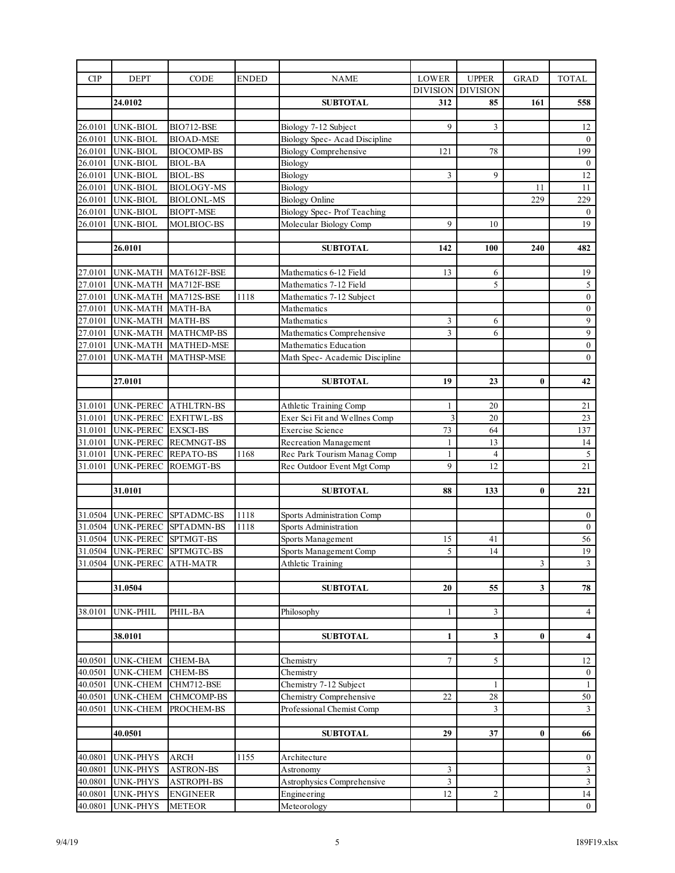| <b>UPPER</b><br><b>CIP</b><br><b>DEPT</b><br>CODE<br><b>ENDED</b><br><b>NAME</b><br>LOWER<br><b>DIVISION</b><br><b>DIVISION</b><br>24.0102<br><b>SUBTOTAL</b><br>312<br>85<br>26.0101<br>9<br>3<br><b>UNK-BIOL</b><br>BIO712-BSE<br>Biology 7-12 Subject<br>26.0101<br>Biology Spec- Acad Discipline<br><b>UNK-BIOL</b><br><b>BIOAD-MSE</b><br>26.0101<br>UNK-BIOL<br><b>BIOCOMP-BS</b><br><b>Biology Comprehensive</b><br>78<br>121<br>26.0101<br><b>UNK-BIOL</b><br>Biology<br><b>BIOL-BA</b><br>26.0101<br><b>UNK-BIOL</b><br><b>BIOL-BS</b><br>Biology<br>9<br>3<br>26.0101<br>UNK-BIOL<br><b>BIOLOGY-MS</b><br>Biology<br><b>Biology Online</b><br>26.0101<br><b>UNK-BIOL</b><br><b>BIOLONL-MS</b><br>Biology Spec- Prof Teaching<br>26.0101<br>UNK-BIOL<br><b>BIOPT-MSE</b><br>26.0101<br><b>UNK-BIOL</b><br>MOLBIOC-BS<br>Molecular Biology Comp<br>9<br>10<br><b>SUBTOTAL</b><br>26.0101<br>142<br>100 |                |                         |
|----------------------------------------------------------------------------------------------------------------------------------------------------------------------------------------------------------------------------------------------------------------------------------------------------------------------------------------------------------------------------------------------------------------------------------------------------------------------------------------------------------------------------------------------------------------------------------------------------------------------------------------------------------------------------------------------------------------------------------------------------------------------------------------------------------------------------------------------------------------------------------------------------------------|----------------|-------------------------|
|                                                                                                                                                                                                                                                                                                                                                                                                                                                                                                                                                                                                                                                                                                                                                                                                                                                                                                                | <b>GRAD</b>    | <b>TOTAL</b>            |
|                                                                                                                                                                                                                                                                                                                                                                                                                                                                                                                                                                                                                                                                                                                                                                                                                                                                                                                |                |                         |
|                                                                                                                                                                                                                                                                                                                                                                                                                                                                                                                                                                                                                                                                                                                                                                                                                                                                                                                | 161            | 558                     |
|                                                                                                                                                                                                                                                                                                                                                                                                                                                                                                                                                                                                                                                                                                                                                                                                                                                                                                                |                |                         |
|                                                                                                                                                                                                                                                                                                                                                                                                                                                                                                                                                                                                                                                                                                                                                                                                                                                                                                                |                | 12                      |
|                                                                                                                                                                                                                                                                                                                                                                                                                                                                                                                                                                                                                                                                                                                                                                                                                                                                                                                |                | $\mathbf{0}$            |
|                                                                                                                                                                                                                                                                                                                                                                                                                                                                                                                                                                                                                                                                                                                                                                                                                                                                                                                |                | 199                     |
|                                                                                                                                                                                                                                                                                                                                                                                                                                                                                                                                                                                                                                                                                                                                                                                                                                                                                                                |                | $\boldsymbol{0}$        |
|                                                                                                                                                                                                                                                                                                                                                                                                                                                                                                                                                                                                                                                                                                                                                                                                                                                                                                                |                | 12                      |
|                                                                                                                                                                                                                                                                                                                                                                                                                                                                                                                                                                                                                                                                                                                                                                                                                                                                                                                | 11             | 11                      |
|                                                                                                                                                                                                                                                                                                                                                                                                                                                                                                                                                                                                                                                                                                                                                                                                                                                                                                                | 229            | 229<br>$\mathbf{0}$     |
|                                                                                                                                                                                                                                                                                                                                                                                                                                                                                                                                                                                                                                                                                                                                                                                                                                                                                                                |                | 19                      |
|                                                                                                                                                                                                                                                                                                                                                                                                                                                                                                                                                                                                                                                                                                                                                                                                                                                                                                                |                |                         |
|                                                                                                                                                                                                                                                                                                                                                                                                                                                                                                                                                                                                                                                                                                                                                                                                                                                                                                                | 240            | 482                     |
|                                                                                                                                                                                                                                                                                                                                                                                                                                                                                                                                                                                                                                                                                                                                                                                                                                                                                                                |                |                         |
| 27.0101<br>UNK-MATH MAT612F-BSE<br>Mathematics 6-12 Field<br>13<br>6                                                                                                                                                                                                                                                                                                                                                                                                                                                                                                                                                                                                                                                                                                                                                                                                                                           |                | 19                      |
| 27.0101<br>5<br>Mathematics 7-12 Field<br>UNK-MATH MA712F-BSE                                                                                                                                                                                                                                                                                                                                                                                                                                                                                                                                                                                                                                                                                                                                                                                                                                                  |                | $\sqrt{5}$              |
| 27.0101<br>UNK-MATH MA712S-BSE<br>Mathematics 7-12 Subject<br>1118                                                                                                                                                                                                                                                                                                                                                                                                                                                                                                                                                                                                                                                                                                                                                                                                                                             |                | $\boldsymbol{0}$        |
| 27.0101<br>UNK-MATH MATH-BA<br>Mathematics                                                                                                                                                                                                                                                                                                                                                                                                                                                                                                                                                                                                                                                                                                                                                                                                                                                                     |                | $\boldsymbol{0}$        |
| 27.0101<br>UNK-MATH MATH-BS<br>Mathematics<br>3<br>6                                                                                                                                                                                                                                                                                                                                                                                                                                                                                                                                                                                                                                                                                                                                                                                                                                                           |                | $\boldsymbol{9}$        |
| 27.0101<br>UNK-MATH MATHCMP-BS<br>Mathematics Comprehensive<br>3<br>6                                                                                                                                                                                                                                                                                                                                                                                                                                                                                                                                                                                                                                                                                                                                                                                                                                          |                | $\overline{9}$          |
| 27.0101<br>UNK-MATH MATHED-MSE<br><b>Mathematics Education</b>                                                                                                                                                                                                                                                                                                                                                                                                                                                                                                                                                                                                                                                                                                                                                                                                                                                 |                | $\boldsymbol{0}$        |
| 27.0101<br>UNK-MATH<br>MATHSP-MSE<br>Math Spec- Academic Discipline                                                                                                                                                                                                                                                                                                                                                                                                                                                                                                                                                                                                                                                                                                                                                                                                                                            |                | $\mathbf{0}$            |
|                                                                                                                                                                                                                                                                                                                                                                                                                                                                                                                                                                                                                                                                                                                                                                                                                                                                                                                |                |                         |
| 27.0101<br><b>SUBTOTAL</b><br>19<br>23                                                                                                                                                                                                                                                                                                                                                                                                                                                                                                                                                                                                                                                                                                                                                                                                                                                                         | $\bf{0}$       | 42                      |
|                                                                                                                                                                                                                                                                                                                                                                                                                                                                                                                                                                                                                                                                                                                                                                                                                                                                                                                |                |                         |
| 31.0101 UNK-PEREC ATHLTRN-BS<br>Athletic Training Comp<br>20<br>1                                                                                                                                                                                                                                                                                                                                                                                                                                                                                                                                                                                                                                                                                                                                                                                                                                              |                | 21                      |
| 31.0101<br>Exer Sci Fit and Wellnes Comp<br>3<br>UNK-PEREC EXFITWL-BS<br>20                                                                                                                                                                                                                                                                                                                                                                                                                                                                                                                                                                                                                                                                                                                                                                                                                                    |                | 23                      |
| 31.0101<br><b>Exercise Science</b><br>73<br>64<br>UNK-PEREC EXSCI-BS                                                                                                                                                                                                                                                                                                                                                                                                                                                                                                                                                                                                                                                                                                                                                                                                                                           |                | 137                     |
| 31.0101<br>UNK-PEREC RECMNGT-BS<br>13<br>Recreation Management<br>$\mathbf{1}$                                                                                                                                                                                                                                                                                                                                                                                                                                                                                                                                                                                                                                                                                                                                                                                                                                 |                | 14                      |
| 31.0101<br>$\overline{4}$<br>UNK-PEREC REPATO-BS<br>1168<br>Rec Park Tourism Manag Comp<br>$\mathbf{1}$<br>9                                                                                                                                                                                                                                                                                                                                                                                                                                                                                                                                                                                                                                                                                                                                                                                                   |                | $\sqrt{5}$<br>21        |
| 31.0101<br>UNK-PEREC<br>Rec Outdoor Event Mgt Comp<br><b>ROEMGT-BS</b><br>12                                                                                                                                                                                                                                                                                                                                                                                                                                                                                                                                                                                                                                                                                                                                                                                                                                   |                |                         |
| <b>SUBTOTAL</b><br>31.0101<br>88<br>133                                                                                                                                                                                                                                                                                                                                                                                                                                                                                                                                                                                                                                                                                                                                                                                                                                                                        | $\bf{0}$       | 221                     |
|                                                                                                                                                                                                                                                                                                                                                                                                                                                                                                                                                                                                                                                                                                                                                                                                                                                                                                                |                |                         |
| 31.0504 UNK-PEREC<br>SPTADMC-BS<br>1118<br>Sports Administration Comp                                                                                                                                                                                                                                                                                                                                                                                                                                                                                                                                                                                                                                                                                                                                                                                                                                          |                | $\boldsymbol{0}$        |
| 31.0504 UNK-PEREC SPTADMN-BS<br>1118<br>Sports Administration                                                                                                                                                                                                                                                                                                                                                                                                                                                                                                                                                                                                                                                                                                                                                                                                                                                  |                | $\boldsymbol{0}$        |
| 31.0504 UNK-PEREC<br>SPTMGT-BS<br>Sports Management<br>15<br>41                                                                                                                                                                                                                                                                                                                                                                                                                                                                                                                                                                                                                                                                                                                                                                                                                                                |                | 56                      |
| 31.0504 UNK-PEREC SPTMGTC-BS<br>5<br>14<br>Sports Management Comp                                                                                                                                                                                                                                                                                                                                                                                                                                                                                                                                                                                                                                                                                                                                                                                                                                              |                | 19                      |
| 31.0504<br><b>UNK-PEREC</b><br>ATH-MATR<br>Athletic Training                                                                                                                                                                                                                                                                                                                                                                                                                                                                                                                                                                                                                                                                                                                                                                                                                                                   | $\mathfrak{Z}$ | $\mathfrak{Z}$          |
|                                                                                                                                                                                                                                                                                                                                                                                                                                                                                                                                                                                                                                                                                                                                                                                                                                                                                                                |                |                         |
| 31.0504<br><b>SUBTOTAL</b><br>20<br>55                                                                                                                                                                                                                                                                                                                                                                                                                                                                                                                                                                                                                                                                                                                                                                                                                                                                         | 3              | 78                      |
|                                                                                                                                                                                                                                                                                                                                                                                                                                                                                                                                                                                                                                                                                                                                                                                                                                                                                                                |                |                         |
| 38.0101<br>UNK-PHIL<br>3<br>PHIL-BA<br>Philosophy<br>1                                                                                                                                                                                                                                                                                                                                                                                                                                                                                                                                                                                                                                                                                                                                                                                                                                                         |                | $\overline{4}$          |
|                                                                                                                                                                                                                                                                                                                                                                                                                                                                                                                                                                                                                                                                                                                                                                                                                                                                                                                |                |                         |
| $\mathbf{3}$<br>38.0101<br><b>SUBTOTAL</b><br>1                                                                                                                                                                                                                                                                                                                                                                                                                                                                                                                                                                                                                                                                                                                                                                                                                                                                | 0              | $\overline{\mathbf{4}}$ |
|                                                                                                                                                                                                                                                                                                                                                                                                                                                                                                                                                                                                                                                                                                                                                                                                                                                                                                                |                |                         |
| 40.0501<br>UNK-CHEM<br><b>CHEM-BA</b><br>7<br>5<br>Chemistry                                                                                                                                                                                                                                                                                                                                                                                                                                                                                                                                                                                                                                                                                                                                                                                                                                                   |                | $12\,$                  |
| 40.0501<br><b>UNK-CHEM</b><br><b>CHEM-BS</b><br>Chemistry                                                                                                                                                                                                                                                                                                                                                                                                                                                                                                                                                                                                                                                                                                                                                                                                                                                      |                | $\boldsymbol{0}$        |
| 40.0501<br>Chemistry 7-12 Subject<br>UNK-CHEM<br>CHM712-BSE<br>1                                                                                                                                                                                                                                                                                                                                                                                                                                                                                                                                                                                                                                                                                                                                                                                                                                               |                | 1                       |
| 40.0501<br><b>UNK-CHEM</b><br><b>CHMCOMP-BS</b><br>Chemistry Comprehensive<br>22<br>28<br>3<br>PROCHEM-BS<br>Professional Chemist Comp                                                                                                                                                                                                                                                                                                                                                                                                                                                                                                                                                                                                                                                                                                                                                                         |                | 50<br>$\mathfrak{Z}$    |
| 40.0501<br>UNK-CHEM                                                                                                                                                                                                                                                                                                                                                                                                                                                                                                                                                                                                                                                                                                                                                                                                                                                                                            |                |                         |
| 29<br>40.0501<br><b>SUBTOTAL</b><br>37                                                                                                                                                                                                                                                                                                                                                                                                                                                                                                                                                                                                                                                                                                                                                                                                                                                                         | $\bf{0}$       | 66                      |
|                                                                                                                                                                                                                                                                                                                                                                                                                                                                                                                                                                                                                                                                                                                                                                                                                                                                                                                |                |                         |
| 40.0801<br><b>UNK-PHYS</b><br><b>ARCH</b><br>1155<br>Architecture                                                                                                                                                                                                                                                                                                                                                                                                                                                                                                                                                                                                                                                                                                                                                                                                                                              |                | $\boldsymbol{0}$        |
| 40.0801<br><b>UNK-PHYS</b><br><b>ASTRON-BS</b><br>Astronomy<br>3                                                                                                                                                                                                                                                                                                                                                                                                                                                                                                                                                                                                                                                                                                                                                                                                                                               |                | $\mathfrak{Z}$          |
| 40.0801<br><b>UNK-PHYS</b><br><b>ASTROPH-BS</b><br>Astrophysics Comprehensive<br>3                                                                                                                                                                                                                                                                                                                                                                                                                                                                                                                                                                                                                                                                                                                                                                                                                             |                | $\overline{\mathbf{3}}$ |
| 40.0801<br>Engineering<br>UNK-PHYS<br><b>ENGINEER</b><br>12<br>2                                                                                                                                                                                                                                                                                                                                                                                                                                                                                                                                                                                                                                                                                                                                                                                                                                               |                | 14                      |
| 40.0801<br><b>UNK-PHYS</b><br><b>METEOR</b><br>Meteorology                                                                                                                                                                                                                                                                                                                                                                                                                                                                                                                                                                                                                                                                                                                                                                                                                                                     |                | $\boldsymbol{0}$        |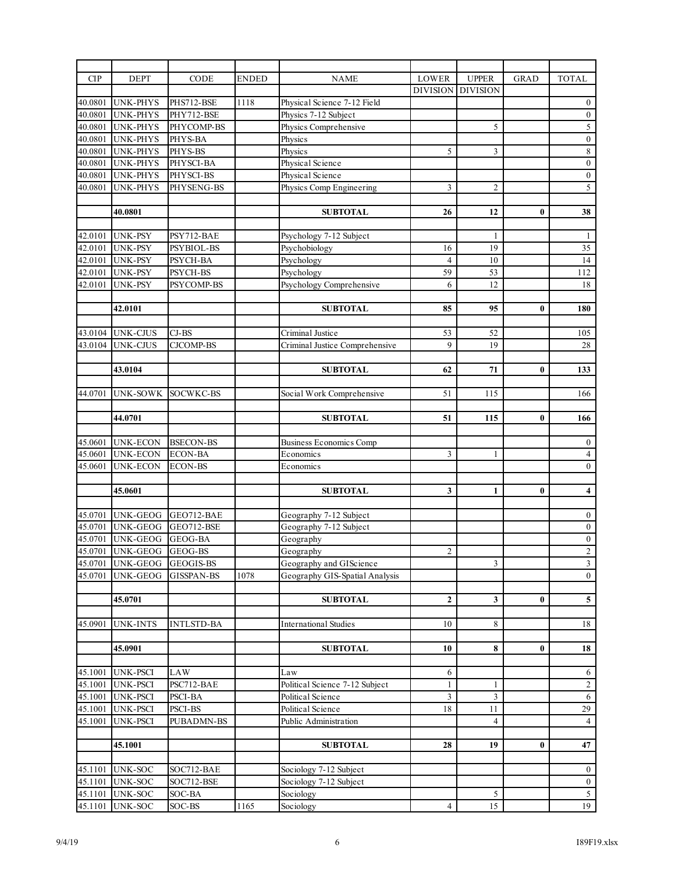| <b>CIP</b>         | <b>DEPT</b>        | <b>CODE</b>       | ENDED | <b>NAME</b>                    | <b>LOWER</b>    | <b>UPPER</b>    | <b>GRAD</b> | <b>TOTAL</b>            |
|--------------------|--------------------|-------------------|-------|--------------------------------|-----------------|-----------------|-------------|-------------------------|
|                    |                    |                   |       |                                | <b>DIVISION</b> | <b>DIVISION</b> |             |                         |
| 40.0801            | <b>UNK-PHYS</b>    | PHS712-BSE        | 1118  | Physical Science 7-12 Field    |                 |                 |             | $\bf{0}$                |
| 40.0801            | <b>UNK-PHYS</b>    | PHY712-BSE        |       | Physics 7-12 Subject           |                 |                 |             | $\boldsymbol{0}$        |
| 40.0801            | <b>UNK-PHYS</b>    | PHYCOMP-BS        |       | Physics Comprehensive          |                 | 5               |             | 5                       |
| 40.0801            | <b>UNK-PHYS</b>    | PHYS-BA           |       | Physics                        |                 |                 |             | $\boldsymbol{0}$        |
| 40.0801            | <b>UNK-PHYS</b>    | PHYS-BS           |       | Physics                        | 5               | 3               |             | $\sqrt{8}$              |
| 40.0801            | <b>UNK-PHYS</b>    | PHYSCI-BA         |       | Physical Science               |                 |                 |             | $\boldsymbol{0}$        |
| 40.0801            | <b>UNK-PHYS</b>    | PHYSCI-BS         |       | Physical Science               |                 |                 |             | $\boldsymbol{0}$        |
| 40.0801            | <b>UNK-PHYS</b>    | PHYSENG-BS        |       | Physics Comp Engineering       | 3               | $\sqrt{2}$      |             | $\overline{5}$          |
|                    |                    |                   |       |                                |                 |                 |             |                         |
|                    | 40.0801            |                   |       | <b>SUBTOTAL</b>                | 26              | 12              | $\bf{0}$    | 38                      |
|                    |                    |                   |       |                                |                 |                 |             |                         |
| 42.0101            | <b>UNK-PSY</b>     | PSY712-BAE        |       | Psychology 7-12 Subject        |                 | $\mathbf{1}$    |             | 1                       |
| 42.0101            | <b>UNK-PSY</b>     | PSYBIOL-BS        |       | Psychobiology                  | 16              | 19              |             | $\overline{35}$         |
| 42.0101            | <b>UNK-PSY</b>     | PSYCH-BA          |       | Psychology                     | $\overline{4}$  | 10              |             | 14                      |
| 42.0101            | <b>UNK-PSY</b>     | PSYCH-BS          |       | Psychology                     | 59              | 53              |             | 112                     |
| 42.0101            | <b>UNK-PSY</b>     | PSYCOMP-BS        |       | Psychology Comprehensive       | 6               | 12              |             | 18                      |
|                    |                    |                   |       |                                |                 |                 |             |                         |
|                    | 42.0101            |                   |       | <b>SUBTOTAL</b>                | 85              | 95              | $\bf{0}$    | 180                     |
|                    |                    |                   |       |                                |                 |                 |             |                         |
| 43.0104            | <b>UNK-CJUS</b>    | $CJ-BS$           |       | Criminal Justice               | 53              | 52              |             | 105                     |
| 43.0104            | <b>UNK-CJUS</b>    | <b>CJCOMP-BS</b>  |       | Criminal Justice Comprehensive | 9               | 19              |             | 28                      |
|                    |                    |                   |       |                                |                 |                 |             |                         |
|                    | 43.0104            |                   |       | <b>SUBTOTAL</b>                | 62              | 71              | $\bf{0}$    | 133                     |
|                    |                    |                   |       |                                |                 |                 |             |                         |
| 44.0701            | <b>UNK-SOWK</b>    | SOCWKC-BS         |       | Social Work Comprehensive      | 51              | 115             |             | 166                     |
|                    |                    |                   |       |                                |                 |                 |             |                         |
|                    | 44.0701            |                   |       | <b>SUBTOTAL</b>                | 51              | 115             | $\bf{0}$    | 166                     |
|                    |                    |                   |       |                                |                 |                 |             |                         |
| 45.0601            | <b>UNK-ECON</b>    | <b>BSECON-BS</b>  |       | <b>Business Economics Comp</b> |                 |                 |             | $\mathbf{0}$            |
| 45.0601            | <b>UNK-ECON</b>    | <b>ECON-BA</b>    |       | Economics                      | 3               | $\mathbf{1}$    |             | $\overline{4}$          |
| 45.0601            | <b>UNK-ECON</b>    | <b>ECON-BS</b>    |       | Economics                      |                 |                 |             | $\boldsymbol{0}$        |
|                    |                    |                   |       |                                |                 |                 |             |                         |
|                    | 45.0601            |                   |       | <b>SUBTOTAL</b>                | 3               | 1               | $\bf{0}$    | $\overline{\mathbf{4}}$ |
|                    |                    |                   |       |                                |                 |                 |             |                         |
| 45.0701            | <b>UNK-GEOG</b>    | GEO712-BAE        |       | Geography 7-12 Subject         |                 |                 |             | $\boldsymbol{0}$        |
| 45.0701            | <b>UNK-GEOG</b>    | GEO712-BSE        |       | Geography 7-12 Subject         |                 |                 |             | $\boldsymbol{0}$        |
| 45.0701            | <b>UNK-GEOG</b>    | GEOG-BA           |       | Geography                      |                 |                 |             | $\boldsymbol{0}$        |
| 45.0701            | UNK-GEOG GEOG-BS   |                   |       | Geography                      | $\overline{2}$  |                 |             | $\overline{2}$          |
| 45.0701            | <b>UNK-GEOG</b>    | GEOGIS-BS         |       | Geography and GIScience        |                 | 3               |             | $\mathfrak{Z}$          |
| 45.0701            | UNK-GEOG           | <b>GISSPAN-BS</b> | 1078  | Geography GIS-Spatial Analysis |                 |                 |             | $\boldsymbol{0}$        |
|                    |                    |                   |       |                                |                 |                 |             |                         |
|                    | 45.0701            |                   |       | <b>SUBTOTAL</b>                | $\mathbf{2}$    | 3               | 0           | 5                       |
|                    |                    |                   |       |                                |                 |                 |             |                         |
| 45.0901            | <b>UNK-INTS</b>    | <b>INTLSTD-BA</b> |       | <b>International Studies</b>   | 10              | 8               |             | 18                      |
|                    |                    |                   |       |                                |                 |                 |             |                         |
|                    | 45.0901            |                   |       | <b>SUBTOTAL</b>                | 10              | 8               | $\bf{0}$    | 18                      |
|                    |                    |                   |       |                                |                 |                 |             |                         |
| 45.1001            | UNK-PSCI           | LAW               |       | Law                            | 6               |                 |             | 6                       |
| 45.1001            | <b>UNK-PSCI</b>    | PSC712-BAE        |       | Political Science 7-12 Subject | $\mathbf{1}$    | $\mathbf{1}$    |             | $\sqrt{2}$              |
| 45.1001            | <b>UNK-PSCI</b>    | PSCI-BA           |       | Political Science              | 3               | 3               |             | $\sqrt{6}$              |
| 45.1001            | <b>UNK-PSCI</b>    | PSCI-BS           |       | Political Science              | 18              | 11              |             | 29                      |
| 45.1001            | <b>UNK-PSCI</b>    | PUBADMN-BS        |       | Public Administration          |                 | 4               |             | $\overline{4}$          |
|                    |                    |                   |       |                                |                 |                 |             |                         |
|                    | 45.1001            |                   |       | <b>SUBTOTAL</b>                | 28              | 19              | 0           | 47                      |
| 45.1101            |                    |                   |       |                                |                 |                 |             |                         |
|                    | <b>UNK-SOC</b>     | SOC712-BAE        |       | Sociology 7-12 Subject         |                 |                 |             | $\boldsymbol{0}$        |
| 45.1101            | <b>UNK-SOC</b>     | SOC712-BSE        |       | Sociology 7-12 Subject         |                 | 5               |             | $\boldsymbol{0}$<br>5   |
| 45.1101<br>45.1101 | UNK-SOC<br>UNK-SOC | SOC-BA            | 1165  | Sociology                      | 4               | 15              |             | 19                      |
|                    |                    | SOC-BS            |       | Sociology                      |                 |                 |             |                         |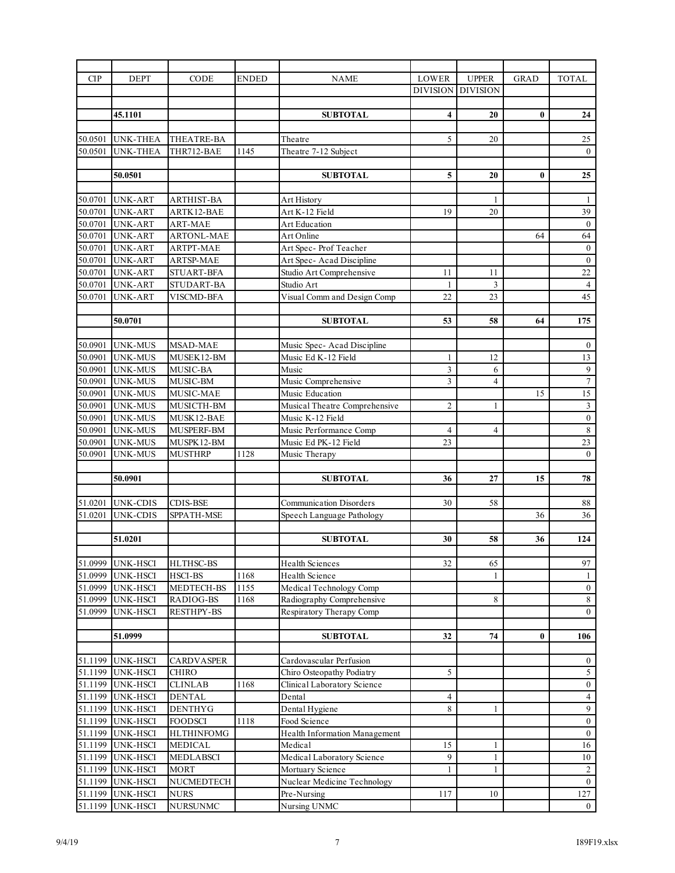| CIP                | <b>DEPT</b>                      | <b>CODE</b>              | <b>ENDED</b> | <b>NAME</b>                                | <b>LOWER</b>    | <b>UPPER</b>    | <b>GRAD</b> | <b>TOTAL</b>                 |
|--------------------|----------------------------------|--------------------------|--------------|--------------------------------------------|-----------------|-----------------|-------------|------------------------------|
|                    |                                  |                          |              |                                            | <b>DIVISION</b> | <b>DIVISION</b> |             |                              |
|                    |                                  |                          |              |                                            |                 |                 |             |                              |
|                    | 45.1101                          |                          |              | <b>SUBTOTAL</b>                            | 4               | 20              | $\bf{0}$    | 24                           |
|                    |                                  |                          |              |                                            |                 |                 |             |                              |
| 50.0501            | <b>UNK-THEA</b>                  | THEATRE-BA               |              | Theatre                                    | 5               | 20              |             | 25                           |
| 50.0501            | <b>UNK-THEA</b>                  | THR712-BAE               | 1145         | Theatre 7-12 Subject                       |                 |                 |             | $\mathbf{0}$                 |
|                    | 50.0501                          |                          |              | <b>SUBTOTAL</b>                            | 5               | 20              | $\bf{0}$    | 25                           |
|                    |                                  |                          |              |                                            |                 |                 |             |                              |
| 50.0701            | <b>UNK-ART</b>                   | <b>ARTHIST-BA</b>        |              | Art History                                |                 | 1               |             | $\mathbf{1}$                 |
| 50.0701            | <b>UNK-ART</b>                   | ARTK12-BAE               |              | Art K-12 Field                             | 19              | 20              |             | 39                           |
| 50.0701            | <b>UNK-ART</b>                   | ART-MAE                  |              | Art Education                              |                 |                 |             | $\boldsymbol{0}$             |
| 50.0701            | <b>UNK-ART</b>                   | <b>ARTONL-MAE</b>        |              | Art Online                                 |                 |                 | 64          | 64                           |
| 50.0701            | <b>UNK-ART</b>                   | <b>ARTPT-MAE</b>         |              | Art Spec- Prof Teacher                     |                 |                 |             | $\boldsymbol{0}$             |
| 50.0701            | <b>UNK-ART</b>                   | <b>ARTSP-MAE</b>         |              | Art Spec-Acad Discipline                   |                 |                 |             | $\boldsymbol{0}$             |
| 50.0701            | <b>UNK-ART</b>                   | <b>STUART-BFA</b>        |              | Studio Art Comprehensive                   | 11              | 11              |             | 22                           |
| 50.0701            | <b>UNK-ART</b>                   | STUDART-BA               |              | Studio Art                                 | 1               | 3               |             | $\overline{4}$               |
| 50.0701            | <b>UNK-ART</b>                   | <b>VISCMD-BFA</b>        |              | Visual Comm and Design Comp                | 22              | 23              |             | $\overline{45}$              |
|                    |                                  |                          |              |                                            |                 |                 |             |                              |
|                    | 50.0701                          |                          |              | <b>SUBTOTAL</b>                            | 53              | 58              | 64          | 175                          |
|                    |                                  |                          |              |                                            |                 |                 |             |                              |
| 50.0901            | <b>UNK-MUS</b>                   | MSAD-MAE                 |              | Music Spec-Acad Discipline                 |                 |                 |             | $\boldsymbol{0}$             |
| 50.0901            | <b>UNK-MUS</b>                   | MUSEK12-BM               |              | Music Ed K-12 Field                        | 1               | 12              |             | 13                           |
| 50.0901            | <b>UNK-MUS</b>                   | <b>MUSIC-BA</b>          |              | Music                                      | 3               | 6               |             | $\boldsymbol{9}$             |
| 50.0901            | <b>UNK-MUS</b>                   | MUSIC-BM                 |              | Music Comprehensive                        | $\overline{3}$  | $\overline{4}$  |             | $\overline{7}$               |
| 50.0901            | <b>UNK-MUS</b>                   | MUSIC-MAE                |              | Music Education                            |                 |                 | 15          | $\overline{15}$              |
| 50.0901            | <b>UNK-MUS</b>                   | MUSICTH-BM               |              | Musical Theatre Comprehensive              | $\overline{2}$  | 1               |             | $\sqrt{3}$<br>$\overline{0}$ |
| 50.0901<br>50.0901 | <b>UNK-MUS</b><br><b>UNK-MUS</b> | MUSK12-BAE<br>MUSPERF-BM |              | Music K-12 Field<br>Music Performance Comp | 4               | $\overline{4}$  |             | $\sqrt{8}$                   |
| 50.0901            | <b>UNK-MUS</b>                   | MUSPK12-BM               |              | Music Ed PK-12 Field                       | 23              |                 |             | $\overline{23}$              |
| 50.0901            | UNK-MUS                          | <b>MUSTHRP</b>           | 1128         | Music Therapy                              |                 |                 |             | $\boldsymbol{0}$             |
|                    |                                  |                          |              |                                            |                 |                 |             |                              |
|                    | 50.0901                          |                          |              | <b>SUBTOTAL</b>                            | 36              | 27              | 15          | 78                           |
|                    |                                  |                          |              |                                            |                 |                 |             |                              |
| 51.0201            | UNK-CDIS                         | CDIS-BSE                 |              | <b>Communication Disorders</b>             | 30              | 58              |             | 88                           |
| 51.0201            | UNK-CDIS                         | SPPATH-MSE               |              | Speech Language Pathology                  |                 |                 | 36          | 36                           |
|                    |                                  |                          |              |                                            |                 |                 |             |                              |
|                    | 51.0201                          |                          |              | <b>SUBTOTAL</b>                            | 30              | 58              | 36          | 124                          |
|                    |                                  |                          |              |                                            |                 |                 |             |                              |
| 51.0999            | <b>UNK-HSCI</b>                  | HLTHSC-BS                |              | <b>Health Sciences</b>                     | $32\,$          | 65              |             | 97                           |
| 51.0999            | <b>UNK-HSCI</b>                  | <b>HSCI-BS</b>           | 1168         | Health Science                             |                 | 1               |             | -1                           |
| 51.0999            | <b>UNK-HSCI</b>                  | MEDTECH-BS               | 1155         | Medical Technology Comp                    |                 |                 |             | $\boldsymbol{0}$             |
| 51.0999            | <b>UNK-HSCI</b>                  | RADIOG-BS                | 1168         | Radiography Comprehensive                  |                 | 8               |             | $\,8\,$                      |
| 51.0999            | UNK-HSCI                         | <b>RESTHPY-BS</b>        |              | Respiratory Therapy Comp                   |                 |                 |             | $\mathbf{0}$                 |
|                    |                                  |                          |              |                                            |                 |                 |             |                              |
|                    | 51.0999                          |                          |              | <b>SUBTOTAL</b>                            | 32              | 74              | $\bf{0}$    | 106                          |
| 51.1199            | UNK-HSCI                         | CARDVASPER               |              | Cardovascular Perfusion                    |                 |                 |             | $\bf{0}$                     |
| 51.1199            | <b>UNK-HSCI</b>                  | <b>CHIRO</b>             |              | Chiro Osteopathy Podiatry                  | 5               |                 |             | $\sqrt{5}$                   |
| 51.1199            | <b>UNK-HSCI</b>                  | <b>CLINLAB</b>           | 1168         | Clinical Laboratory Science                |                 |                 |             | $\bf{0}$                     |
| 51.1199            | <b>UNK-HSCI</b>                  | <b>DENTAL</b>            |              | Dental                                     | 4               |                 |             | $\overline{4}$               |
| 51.1199            | <b>UNK-HSCI</b>                  | <b>DENTHYG</b>           |              | Dental Hygiene                             | 8               | $\mathbf{1}$    |             | $\overline{9}$               |
| 51.1199            | <b>UNK-HSCI</b>                  | <b>FOODSCI</b>           | 1118         | Food Science                               |                 |                 |             | $\boldsymbol{0}$             |
| 51.1199            | <b>UNK-HSCI</b>                  | <b>HLTHINFOMG</b>        |              | Health Information Management              |                 |                 |             | $\boldsymbol{0}$             |
| 51.1199            | <b>UNK-HSCI</b>                  | <b>MEDICAL</b>           |              | Medical                                    | 15              | 1               |             | 16                           |
| 51.1199            | <b>UNK-HSCI</b>                  | MEDLABSCI                |              | Medical Laboratory Science                 | 9               | 1               |             | 10                           |
| 51.1199            | <b>UNK-HSCI</b>                  | <b>MORT</b>              |              | Mortuary Science                           | 1               | 1               |             | $\overline{c}$               |
| 51.1199            | UNK-HSCI                         | NUCMEDTECH               |              | Nuclear Medicine Technology                |                 |                 |             | $\boldsymbol{0}$             |
| 51.1199            | <b>UNK-HSCI</b>                  | <b>NURS</b>              |              | Pre-Nursing                                | 117             | 10              |             | 127                          |
| 51.1199            | UNK-HSCI                         | <b>NURSUNMC</b>          |              | Nursing UNMC                               |                 |                 |             | $\boldsymbol{0}$             |